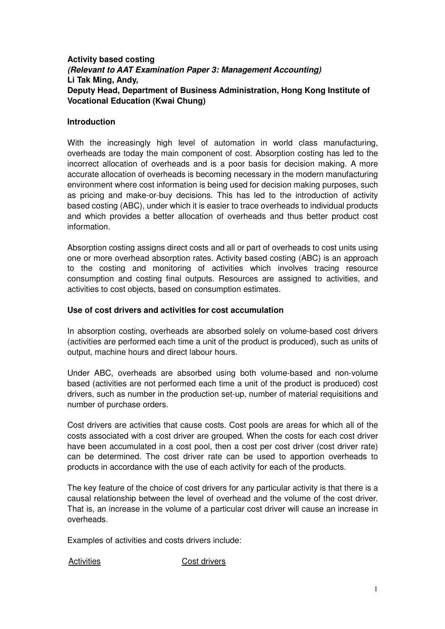# **Activity based costing (Relevant to AAT Examination Paper 3: Management Accounting) Li Tak Ming, Andy, Deputy Head, Department of Business Administration, Hong Kong Institute of Vocational Education (Kwai Chung)**

### **Introduction**

With the increasingly high level of automation in world class manufacturing, overheads are today the main component of cost. Absorption costing has led to the incorrect allocation of overheads and is a poor basis for decision making. A more accurate allocation of overheads is becoming necessary in the modern manufacturing environment where cost information is being used for decision making purposes, such as pricing and make-or-buy decisions. This has led to the introduction of activity based costing (ABC), under which it is easier to trace overheads to individual products and which provides a better allocation of overheads and thus better product cost information.

Absorption costing assigns direct costs and all or part of overheads to cost units using one or more overhead absorption rates. Activity based costing (ABC) is an approach to the costing and monitoring of activities which involves tracing resource consumption and costing final outputs. Resources are assigned to activities, and activities to cost objects, based on consumption estimates.

### **Use of cost drivers and activities for cost accumulation**

In absorption costing, overheads are absorbed solely on volume-based cost drivers (activities are performed each time a unit of the product is produced), such as units of output, machine hours and direct labour hours.

Under ABC, overheads are absorbed using both volume-based and non-volume based (activities are not performed each time a unit of the product is produced) cost drivers, such as number in the production set-up, number of material requisitions and number of purchase orders.

Cost drivers are activities that cause costs. Cost pools are areas for which all of the costs associated with a cost driver are grouped. When the costs for each cost driver have been accumulated in a cost pool, then a cost per cost driver (cost driver rate) can be determined. The cost driver rate can be used to apportion overheads to products in accordance with the use of each activity for each of the products.

The key feature of the choice of cost drivers for any particular activity is that there is a causal relationship between the level of overhead and the volume of the cost driver. That is, an increase in the volume of a particular cost driver will cause an increase in overheads.

Examples of activities and costs drivers include:

Activities **Cost drivers**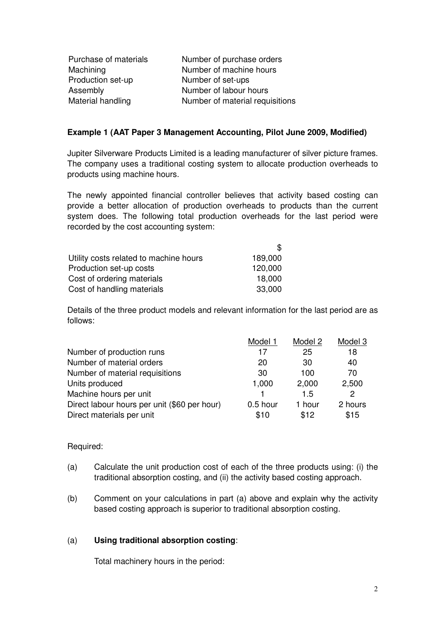| Purchase of materials | Number of purchase orders       |
|-----------------------|---------------------------------|
| Machining             | Number of machine hours         |
| Production set-up     | Number of set-ups               |
| Assembly              | Number of labour hours          |
| Material handling     | Number of material requisitions |

#### **Example 1 (AAT Paper 3 Management Accounting, Pilot June 2009, Modified)**

Jupiter Silverware Products Limited is a leading manufacturer of silver picture frames. The company uses a traditional costing system to allocate production overheads to products using machine hours.

The newly appointed financial controller believes that activity based costing can provide a better allocation of production overheads to products than the current system does. The following total production overheads for the last period were recorded by the cost accounting system:

 $\overline{a}$ 

| Utility costs related to machine hours | 189,000 |
|----------------------------------------|---------|
| Production set-up costs                | 120,000 |
| Cost of ordering materials             | 18,000  |
| Cost of handling materials             | 33,000  |

Details of the three product models and relevant information for the last period are as follows:

|                                              | Model 1    | Model 2 | Model 3 |
|----------------------------------------------|------------|---------|---------|
| Number of production runs                    | 17         | 25      | 18      |
| Number of material orders                    | 20         | -30     | 40      |
| Number of material requisitions              | 30         | 100     | 70      |
| Units produced                               | 1,000      | 2,000   | 2,500   |
| Machine hours per unit                       |            | 1.5     | 2       |
| Direct labour hours per unit (\$60 per hour) | $0.5$ hour | 1 hour  | 2 hours |
| Direct materials per unit                    | \$10       | \$12    | \$15    |

### Required:

- (a) Calculate the unit production cost of each of the three products using: (i) the traditional absorption costing, and (ii) the activity based costing approach.
- (b) Comment on your calculations in part (a) above and explain why the activity based costing approach is superior to traditional absorption costing.

### (a) **Using traditional absorption costing**:

Total machinery hours in the period: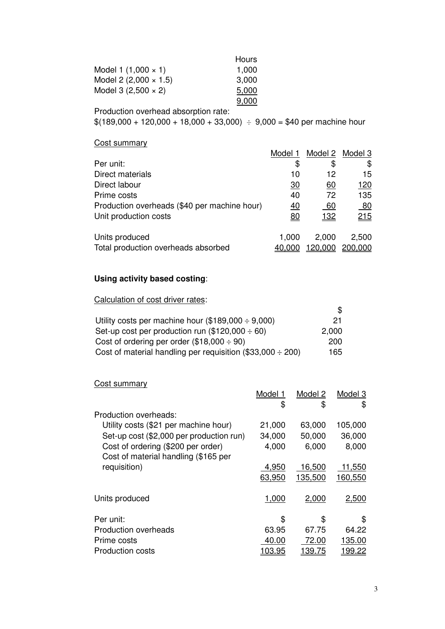|                              | Hours |
|------------------------------|-------|
| Model 1 $(1,000 \times 1)$   | 1,000 |
| Model 2 $(2,000 \times 1.5)$ | 3,000 |
| Model 3 $(2,500 \times 2)$   | 5,000 |
|                              | 9,000 |

Production overhead absorption rate:

 $$(189,000 + 120,000 + 18,000 + 33,000) \div 9,000 = $40$  per machine hour

#### Cost summary

|                                              | Model 1         |            | Model 2 Model 3 |
|----------------------------------------------|-----------------|------------|-----------------|
| Per unit:                                    | S               | \$         | \$              |
| Direct materials                             | 10              | 12         | 15              |
| Direct labour                                | $\overline{30}$ | 60         | <u> 120</u>     |
| Prime costs                                  | 40              | 72         | 135             |
| Production overheads (\$40 per machine hour) | <u>40</u>       | 60         | 80              |
| Unit production costs                        | <u>80</u>       | <u>132</u> | 215             |
| Units produced                               | 1,000           | 2,000      | 2,500           |
| Total production overheads absorbed          | 40.000          | 20,000     | 200,000         |

# **Using activity based costing**:

Calculation of cost driver rates:

| Utility costs per machine hour $(\$189,000 \div 9,000)$         | 21.   |
|-----------------------------------------------------------------|-------|
| Set-up cost per production run $(\$120,000 \div 60)$            | 2,000 |
| Cost of ordering per order $(\$18,000 \div 90)$                 | 200   |
| Cost of material handling per requisition (\$33,000 $\div$ 200) | 165   |

### Cost summary

|                                          | Model 1<br>\$  | Model 2<br>\$  | Model 3<br>\$  |
|------------------------------------------|----------------|----------------|----------------|
| Production overheads:                    |                |                |                |
| Utility costs (\$21 per machine hour)    | 21,000         | 63,000         | 105,000        |
| Set-up cost (\$2,000 per production run) | 34,000         | 50,000         | 36,000         |
| Cost of ordering (\$200 per order)       | 4,000          | 6,000          | 8,000          |
| Cost of material handling (\$165 per     |                |                |                |
| requisition)                             | 4,950          | 16,500         | 11,550         |
|                                          | 63,950         | 135,500        | 160,550        |
| Units produced                           | 1,000          | 2,000          | 2,500          |
| Per unit:                                | \$             | \$             | \$             |
| <b>Production overheads</b>              | 63.95          | 67.75          | 64.22          |
| Prime costs                              | 40.00          | 72.00          | 135.00         |
| <b>Production costs</b>                  | <u> 103.95</u> | <u> 139.75</u> | <u> 199.22</u> |